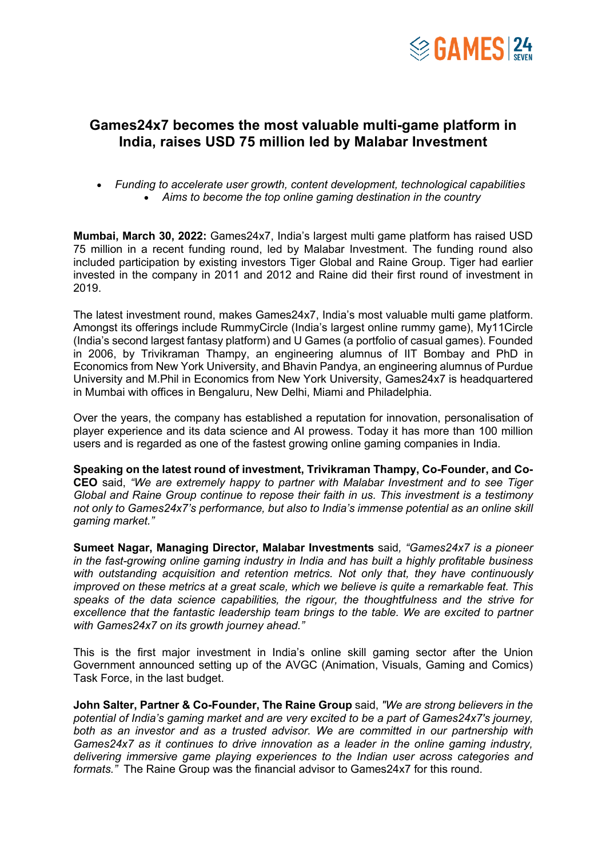

## **Games24x7 becomes the most valuable multi-game platform in India, raises USD 75 million led by Malabar Investment**

• *Funding to accelerate user growth, content development, technological capabilities* • *Aims to become the top online gaming destination in the country*

**Mumbai, March 30, 2022:** Games24x7, India's largest multi game platform has raised USD 75 million in a recent funding round, led by Malabar Investment. The funding round also included participation by existing investors Tiger Global and Raine Group. Tiger had earlier invested in the company in 2011 and 2012 and Raine did their first round of investment in 2019.

The latest investment round, makes Games24x7, India's most valuable multi game platform. Amongst its offerings include RummyCircle (India's largest online rummy game), My11Circle (India's second largest fantasy platform) and U Games (a portfolio of casual games). Founded in 2006, by Trivikraman Thampy, an engineering alumnus of IIT Bombay and PhD in Economics from New York University, and Bhavin Pandya, an engineering alumnus of Purdue University and M.Phil in Economics from New York University, Games24x7 is headquartered in Mumbai with offices in Bengaluru, New Delhi, Miami and Philadelphia.

Over the years, the company has established a reputation for innovation, personalisation of player experience and its data science and AI prowess. Today it has more than 100 million users and is regarded as one of the fastest growing online gaming companies in India.

**Speaking on the latest round of investment, Trivikraman Thampy, Co-Founder, and Co-CEO** said, *"We are extremely happy to partner with Malabar Investment and to see Tiger Global and Raine Group continue to repose their faith in us. This investment is a testimony not only to Games24x7's performance, but also to India's immense potential as an online skill gaming market."*

**Sumeet Nagar, Managing Director, Malabar Investments** said*, "Games24x7 is a pioneer in the fast-growing online gaming industry in India and has built a highly profitable business with outstanding acquisition and retention metrics. Not only that, they have continuously improved on these metrics at a great scale, which we believe is quite a remarkable feat. This speaks of the data science capabilities, the rigour, the thoughtfulness and the strive for*  excellence that the fantastic leadership team brings to the table. We are excited to partner *with Games24x7 on its growth journey ahead."*

This is the first major investment in India's online skill gaming sector after the Union Government announced setting up of the AVGC (Animation, Visuals, Gaming and Comics) Task Force, in the last budget.

**John Salter, Partner & Co-Founder, The Raine Group** said, *"We are strong believers in the potential of India's gaming market and are very excited to be a part of Games24x7's journey, both as an investor and as a trusted advisor. We are committed in our partnership with Games24x7 as it continues to drive innovation as a leader in the online gaming industry, delivering immersive game playing experiences to the Indian user across categories and formats."* The Raine Group was the financial advisor to Games24x7 for this round.